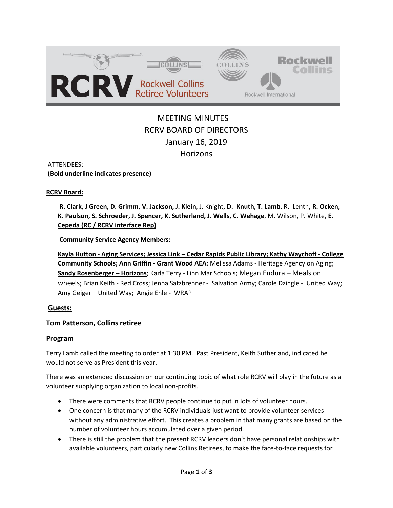

# MEETING MINUTES RCRV BOARD OF DIRECTORS January 16, 2019 **Horizons**

ATTENDEES:

**(Bold underline indicates presence)** 

#### **RCRV Board:**

**R. Clark, J Green, D. Grimm, V. Jackson, J. Klein**, J. Knight, **D. Knuth, T. Lamb**, R. Lenth**, R. Ocken, K. Paulson, S. Schroeder, J. Spencer, K. Sutherland, J. Wells, C. Wehage**, M. Wilson, P. White, **E. Cepeda (RC / RCRV interface Rep)**

**Community Service Agency Members:** 

**Kayla Hutton - Aging Services; Jessica Link – Cedar Rapids Public Library; Kathy Waychoff - College Community Schools; Ann Griffin - Grant Wood AEA**; Melissa Adams - Heritage Agency on Aging; **Sandy Rosenberger – Horizons**; Karla Terry - Linn Mar Schools; Megan Endura – Meals on wheels; Brian Keith - Red Cross; Jenna Satzbrenner - Salvation Army; Carole Dzingle - United Way; Amy Geiger – United Way; Angie Ehle - WRAP

# **Guests:**

# **Tom Patterson, Collins retiree**

#### **Program**

Terry Lamb called the meeting to order at 1:30 PM. Past President, Keith Sutherland, indicated he would not serve as President this year.

There was an extended discussion on our continuing topic of what role RCRV will play in the future as a volunteer supplying organization to local non-profits.

- There were comments that RCRV people continue to put in lots of volunteer hours.
- One concern is that many of the RCRV individuals just want to provide volunteer services without any administrative effort. This creates a problem in that many grants are based on the number of volunteer hours accumulated over a given period.
- There is still the problem that the present RCRV leaders don't have personal relationships with available volunteers, particularly new Collins Retirees, to make the face-to-face requests for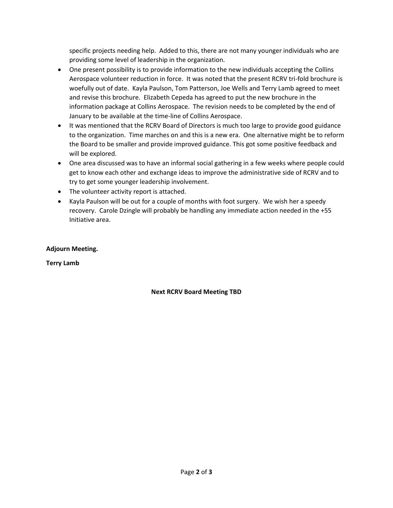specific projects needing help. Added to this, there are not many younger individuals who are providing some level of leadership in the organization.

- One present possibility is to provide information to the new individuals accepting the Collins Aerospace volunteer reduction in force. It was noted that the present RCRV tri-fold brochure is woefully out of date. Kayla Paulson, Tom Patterson, Joe Wells and Terry Lamb agreed to meet and revise this brochure. Elizabeth Cepeda has agreed to put the new brochure in the information package at Collins Aerospace. The revision needs to be completed by the end of January to be available at the time-line of Collins Aerospace.
- It was mentioned that the RCRV Board of Directors is much too large to provide good guidance to the organization. Time marches on and this is a new era. One alternative might be to reform the Board to be smaller and provide improved guidance. This got some positive feedback and will be explored.
- One area discussed was to have an informal social gathering in a few weeks where people could get to know each other and exchange ideas to improve the administrative side of RCRV and to try to get some younger leadership involvement.
- The volunteer activity report is attached.
- Kayla Paulson will be out for a couple of months with foot surgery. We wish her a speedy recovery. Carole Dzingle will probably be handling any immediate action needed in the +55 Initiative area.

#### **Adjourn Meeting.**

**Terry Lamb**

#### **Next RCRV Board Meeting TBD**